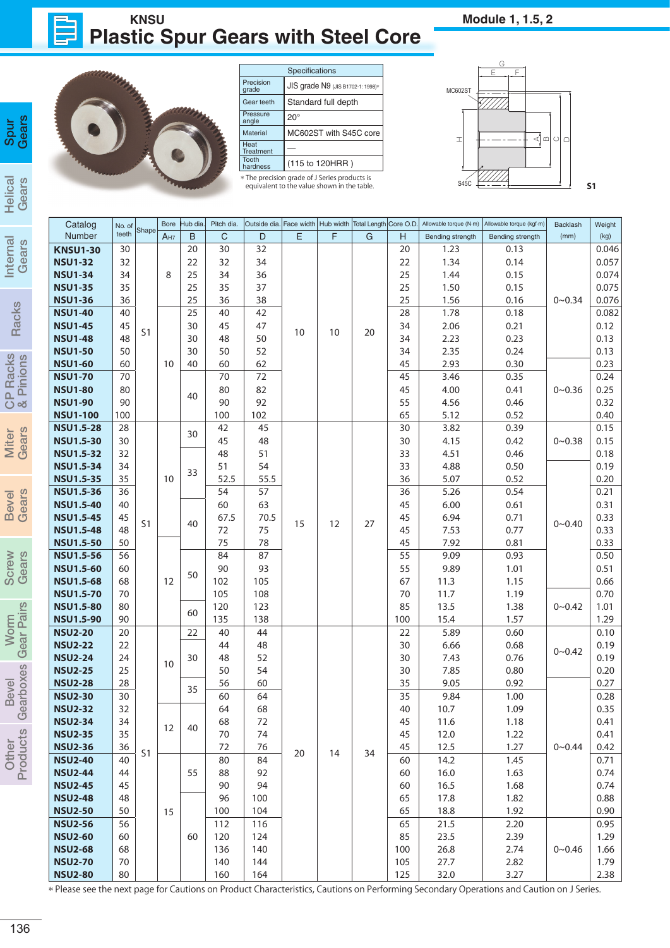## **Plastic Spur Gears with Steel Core KNSU Module 1, 1.5, 2**



Spur<br>Gears



E F  $\Omega$ C $\epsilon$ G HA MC602ST s<sub>45C</sub> <del>C <u>Second</u></del> S1

|                                        |                 |                |                 |               |            | <b>Material</b><br>Heat                                                                      |    | MC602ST with S45C core |    |          | I                               | ব                        | $\ln  C $       |                |
|----------------------------------------|-----------------|----------------|-----------------|---------------|------------|----------------------------------------------------------------------------------------------|----|------------------------|----|----------|---------------------------------|--------------------------|-----------------|----------------|
|                                        |                 |                |                 |               |            | Treatment                                                                                    |    |                        |    |          |                                 |                          |                 |                |
|                                        |                 |                |                 |               |            | Tooth<br>hardness                                                                            |    | (115 to 120HRR)        |    |          |                                 |                          |                 |                |
|                                        |                 |                |                 |               |            | * The precision grade of J Series products is<br>equivalent to the value shown in the table. |    |                        |    |          | <b>S45C</b>                     |                          |                 | S <sub>1</sub> |
|                                        |                 |                |                 |               |            |                                                                                              |    |                        |    |          |                                 |                          |                 |                |
|                                        |                 |                |                 |               |            |                                                                                              |    |                        |    |          |                                 |                          |                 |                |
| Catalog                                | No. of<br>teeth | Shape          |                 | Bore Hub dia. | Pitch dia. | Outside dia. Face width Hub width Total Length Core O.D.                                     |    |                        |    |          | Allowable torque (N-m)          | Allowable torque (kgf-m) | <b>Backlash</b> | Weight         |
| <b>Number</b><br><b>KNSU1-30</b>       | 30              |                | A <sub>H7</sub> | B<br>20       | C<br>30    | D<br>32                                                                                      | E  | F                      | G  | н<br>20  | <b>Bending strength</b><br>1.23 | Bending strength<br>0.13 | (mm)            | (kg)<br>0.046  |
| <b>KNSU1-32</b>                        | 32              |                |                 | 22            | 32         | 34                                                                                           |    |                        |    | 22       | 1.34                            | 0.14                     |                 | 0.057          |
| <b>KNSU1-34</b>                        | 34              |                | 8               | 25            | 34         | 36                                                                                           |    |                        |    | 25       | 1.44                            | 0.15                     |                 | 0.074          |
| <b>KNSU1-35</b>                        | 35              |                |                 | 25            | 35         | 37                                                                                           |    |                        |    | 25       | 1.50                            | 0.15                     |                 | 0.075          |
| <b>KNSU1-36</b>                        | 36              |                |                 | 25            | 36         | 38                                                                                           |    |                        |    | 25       | 1.56                            | 0.16                     | $0 - 0.34$      | 0.076          |
| <b>KNSU1-40</b>                        | 40              |                |                 | 25            | 40         | 42                                                                                           |    |                        |    | 28       | 1.78                            | 0.18                     |                 | 0.082          |
| <b>KNSU1-45</b>                        | 45              |                |                 | 30            | 45         | 47                                                                                           |    |                        |    | 34       | 2.06                            | 0.21                     |                 | 0.12           |
| <b>KNSU1-48</b>                        | 48              | S1             |                 | 30            | 48         | 50                                                                                           | 10 | 10                     | 20 | 34       | 2.23                            | 0.23                     |                 | 0.13           |
| <b>KNSU1-50</b>                        | 50              |                |                 | 30            | 50         | 52                                                                                           |    |                        |    | 34       | 2.35                            | 0.24                     |                 | 0.13           |
| <b>KNSU1-60</b>                        | 60              |                | 10              | 40            | 60         | 62                                                                                           |    |                        |    | 45       | 2.93                            | 0.30                     |                 | 0.23           |
| <b>KNSU1-70</b>                        | 70              |                |                 |               | 70         | 72                                                                                           |    |                        |    | 45       | 3.46                            | 0.35                     |                 | 0.24           |
| <b>KNSU1-80</b>                        | 80              |                |                 | 40            | 80         | 82                                                                                           |    |                        |    | 45       | 4.00                            | 0.41                     | $0 - 0.36$      | 0.25           |
| <b>KNSU1-90</b>                        | 90              |                |                 |               | 90         | 92                                                                                           |    |                        |    | 55       | 4.56                            | 0.46                     |                 | 0.32           |
| <b>KNSU1-100</b>                       | 100             |                |                 |               | 100        | 102                                                                                          |    |                        |    | 65       | 5.12                            | 0.52                     |                 | 0.40           |
| <b>KNSU1.5-28</b>                      | 28              |                |                 | 30            | 42         | 45                                                                                           |    |                        |    | 30       | 3.82                            | 0.39                     |                 | 0.15           |
| <b>KNSU1.5-30</b>                      | 30              |                |                 |               | 45         | 48                                                                                           |    |                        |    | 30       | 4.15                            | 0.42                     | $0 - 0.38$      | 0.15           |
| <b>KNSU1.5-32</b>                      | 32              |                |                 |               | 48         | 51                                                                                           |    |                        |    | 33       | 4.51                            | 0.46                     |                 | 0.18           |
| <b>KNSU1.5-34</b>                      | 34              |                |                 | 33            | 51         | 54                                                                                           |    |                        |    | 33       | 4.88                            | 0.50                     |                 | 0.19           |
| <b>KNSU1.5-35</b>                      | 35              |                | 10              |               | 52.5       | 55.5                                                                                         |    |                        |    | 36       | 5.07                            | 0.52                     |                 | 0.20           |
| <b>KNSU1.5-36</b>                      | 36              |                |                 |               | 54<br>60   | 57<br>63                                                                                     |    |                        |    | 36<br>45 | 5.26<br>6.00                    | 0.54<br>0.61             |                 | 0.21<br>0.31   |
| <b>KNSU1.5-40</b><br><b>KNSU1.5-45</b> | 40<br>45        |                |                 |               | 67.5       | 70.5                                                                                         |    |                        |    | 45       | 6.94                            | 0.71                     |                 | 0.33           |
| <b>KNSU1.5-48</b>                      | 48              | S <sub>1</sub> |                 | 40            | 72         | 75                                                                                           | 15 | 12                     | 27 | 45       | 7.53                            | 0.77                     | $0 - 0.40$      | 0.33           |
| <b>KNSU1.5-50</b>                      | 50              |                |                 |               | 75         | 78                                                                                           |    |                        |    | 45       | 7.92                            | 0.81                     |                 | 0.33           |
| <b>KNSU1.5-56</b>                      | 56              |                |                 |               | 84         | 87                                                                                           |    |                        |    | 55       | 9.09                            | 0.93                     |                 | 0.50           |
| <b>KNSU1.5-60</b>                      | 60              |                |                 |               | 90         | 93                                                                                           |    |                        |    | 55       | 9.89                            | 1.01                     |                 | 0.51           |
| <b>KNSU1.5-68</b>                      | 68              |                | 12              | 50            | 102        | 105                                                                                          |    |                        |    | 67       | 11.3                            | 1.15                     |                 | 0.66           |
| <b>KNSU1.5-70</b>                      | 70              |                |                 |               | 105        | 108                                                                                          |    |                        |    | 70       | 11.7                            | 1.19                     |                 | 0.70           |
| <b>KNSU1.5-80</b>                      | 80              |                |                 | 60            | 120        | 123                                                                                          |    |                        |    | 85       | 13.5                            | 1.38                     | $0 - 0.42$      | 1.01           |
| <b>KNSU1.5-90</b>                      | 90              |                |                 |               | 135        | 138                                                                                          |    |                        |    | 100      | 15.4                            | 1.57                     |                 | 1.29           |
| <b>KNSU2-20</b>                        | 20              |                |                 | 22            | 40         | 44                                                                                           |    |                        |    | 22       | 5.89                            | 0.60                     |                 | 0.10           |
| <b>KNSU2-22</b>                        | 22              |                |                 |               | 44         | 48                                                                                           |    |                        |    | 30       | 6.66                            | 0.68                     | $0 - 0.42$      | 0.19           |
| <b>KNSU2-24</b>                        | 24              |                | 10              | 30            | 48         | 52                                                                                           |    |                        |    | 30       | 7.43                            | 0.76                     |                 | 0.19           |
| <b>KNSU2-25</b>                        | 25              |                |                 |               | 50         | 54                                                                                           |    |                        |    | 30       | 7.85                            | 0.80                     |                 | 0.20           |
| <b>KNSU2-28</b>                        | 28              |                |                 | 35            | 56         | 60                                                                                           |    |                        |    | 35       | 9.05                            | 0.92                     |                 | 0.27           |
| <b>KNSU2-30</b>                        | 30              |                |                 |               | 60         | 64                                                                                           |    |                        |    | 35       | 9.84                            | 1.00                     |                 | 0.28           |
| <b>KNSU2-32</b><br><b>KNSU2-34</b>     | 32<br>34        |                |                 |               | 64<br>68   | 68<br>72                                                                                     |    |                        |    | 40<br>45 | 10.7<br>11.6                    | 1.09<br>1.18             |                 | 0.35<br>0.41   |
| <b>KNSU2-35</b>                        | 35              |                | 12              | 40            | 70         | 74                                                                                           |    |                        |    | 45       | 12.0                            | 1.22                     |                 | 0.41           |
| <b>KNSU2-36</b>                        | 36              |                |                 |               | 72         | 76                                                                                           |    |                        |    | 45       | 12.5                            | 1.27                     | $0 - 0.44$      | 0.42           |
| <b>KNSU2-40</b>                        | 40              | S1             |                 |               | 80         | 84                                                                                           | 20 | 14                     | 34 | 60       | 14.2                            | 1.45                     |                 | 0.71           |
| <b>KNSU2-44</b>                        | 44              |                |                 | 55            | 88         | 92                                                                                           |    |                        |    | 60       | 16.0                            | 1.63                     |                 | 0.74           |
| <b>KNSU2-45</b>                        | 45              |                |                 |               | 90         | 94                                                                                           |    |                        |    | 60       | 16.5                            | 1.68                     |                 | 0.74           |
| <b>KNSU2-48</b>                        | 48              |                |                 |               | 96         | 100                                                                                          |    |                        |    | 65       | 17.8                            | 1.82                     |                 | 0.88           |
| <b>KNSU2-50</b>                        | 50              |                | 15              |               | 100        | 104                                                                                          |    |                        |    | 65       | 18.8                            | 1.92                     |                 | 0.90           |
| <b>KNSU2-56</b>                        | 56              |                |                 |               | 112        | 116                                                                                          |    |                        |    | 65       | 21.5                            | 2.20                     |                 | 0.95           |
| <b>KNSU2-60</b>                        | 60              |                |                 | 60            | 120        | 124                                                                                          |    |                        |    | 85       | 23.5                            | 2.39                     |                 | 1.29           |
| <b>KNSU2-68</b>                        | 68              |                |                 |               | 136        | 140                                                                                          |    |                        |    | 100      | 26.8                            | 2.74                     | $0 - 0.46$      | 1.66           |
| <b>KNSU2-70</b>                        | 70              |                |                 |               | 140        | 144                                                                                          |    |                        |    | 105      | 27.7                            | 2.82                     |                 | 1.79           |
| <b>KNSU2-80</b>                        | 80              |                |                 |               | 160        | 164                                                                                          |    |                        |    | 125      | 32.0                            | 3.27                     |                 | 2.38           |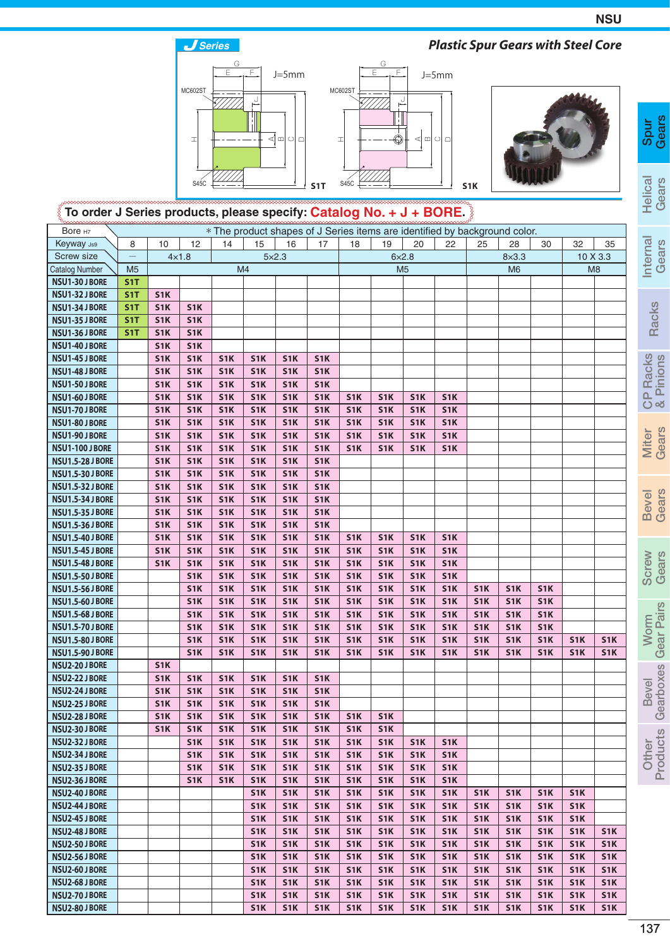**KNSU**

Spur<br>Gears





|                                                           |                                    |                                      | 工                                    |                                      |                                      | ⊲[ ⊞<br>$\Box$<br>$\circ$            |                                      | I                                    | $\bigoplus$                          | $\triangleleft \square$              | $\Box$                               |                                      |                                                                            |                                      |                                      |                                      | Spur<br>Gears      |
|-----------------------------------------------------------|------------------------------------|--------------------------------------|--------------------------------------|--------------------------------------|--------------------------------------|--------------------------------------|--------------------------------------|--------------------------------------|--------------------------------------|--------------------------------------|--------------------------------------|--------------------------------------|----------------------------------------------------------------------------|--------------------------------------|--------------------------------------|--------------------------------------|--------------------|
|                                                           |                                    |                                      |                                      |                                      |                                      |                                      | S <sub>1</sub> T                     | <b>S45C</b>                          |                                      |                                      |                                      | S <sub>1</sub> K                     |                                                                            |                                      |                                      |                                      | Helical            |
| To order J Series products, please specify: Catalog No. + |                                    |                                      |                                      |                                      |                                      |                                      |                                      |                                      |                                      |                                      |                                      |                                      |                                                                            |                                      |                                      |                                      |                    |
| Bore H7                                                   |                                    |                                      |                                      |                                      |                                      |                                      |                                      |                                      |                                      |                                      |                                      |                                      | * The product shapes of J Series items are identified by background color. |                                      |                                      |                                      | Internal<br>Gears  |
| Keyway Js9                                                | 8                                  | 10                                   | 12                                   | 14                                   | 15                                   | 16                                   | 17                                   | 18                                   | 19                                   | 20                                   | 22                                   | 25                                   | 28                                                                         | 30                                   | 32                                   | 35                                   |                    |
| Screw size                                                | —                                  |                                      | $4\times1.8$                         |                                      |                                      | $5\times2.3$                         |                                      |                                      |                                      | $6\times2.8$                         |                                      |                                      | $8\times3.3$                                                               |                                      |                                      | 10 X 3.3                             |                    |
| <b>Catalog Number</b><br>KNSU1-30 J BORE                  | M <sub>5</sub><br>S <sub>1</sub> T |                                      |                                      |                                      | M <sub>4</sub>                       |                                      |                                      |                                      |                                      | M <sub>5</sub>                       |                                      |                                      | M <sub>6</sub>                                                             |                                      |                                      | M <sub>8</sub>                       |                    |
| KNSU1-32 J BORE                                           | S <sub>1</sub> T                   | S <sub>1</sub> K                     |                                      |                                      |                                      |                                      |                                      |                                      |                                      |                                      |                                      |                                      |                                                                            |                                      |                                      |                                      |                    |
| KNSU1-34 J BORE                                           | S <sub>1</sub> T                   | S <sub>1</sub> K                     | S <sub>1</sub> K                     |                                      |                                      |                                      |                                      |                                      |                                      |                                      |                                      |                                      |                                                                            |                                      |                                      |                                      |                    |
| KNSU1-35 J BORE                                           | S <sub>1</sub> T                   | S <sub>1</sub> K                     | S <sub>1</sub> K                     |                                      |                                      |                                      |                                      |                                      |                                      |                                      |                                      |                                      |                                                                            |                                      |                                      |                                      |                    |
| KNSU1-36 J BORE                                           | S <sub>1</sub> T                   | S <sub>1</sub> K                     | S <sub>1</sub> K                     |                                      |                                      |                                      |                                      |                                      |                                      |                                      |                                      |                                      |                                                                            |                                      |                                      |                                      |                    |
| KNSU1-40 J BORE                                           |                                    | S <sub>1</sub> K                     | S <sub>1</sub> K                     |                                      |                                      |                                      |                                      |                                      |                                      |                                      |                                      |                                      |                                                                            |                                      |                                      |                                      |                    |
| KNSU1-45 J BORE                                           |                                    | S <sub>1</sub> K                     | S <sub>1</sub> K                     | S <sub>1</sub> K                     | S <sub>1</sub> K                     | S <sub>1</sub> K                     | S <sub>1</sub> K                     |                                      |                                      |                                      |                                      |                                      |                                                                            |                                      |                                      |                                      |                    |
| <b>KNSU1-48 J BORE</b>                                    |                                    | S <sub>1</sub> K                     | S <sub>1</sub> K                     | S <sub>1</sub> K                     | S <sub>1</sub> K                     | S <sub>1</sub> K                     | S <sub>1</sub> K                     |                                      |                                      |                                      |                                      |                                      |                                                                            |                                      |                                      |                                      |                    |
| KNSU1-50 J BORE                                           |                                    | S <sub>1</sub> K                     | S <sub>1</sub> K                     | S <sub>1</sub> K                     | S <sub>1</sub> K                     | S <sub>1</sub> K                     | S <sub>1</sub> K                     |                                      |                                      |                                      |                                      |                                      |                                                                            |                                      |                                      |                                      |                    |
| KNSU1-60 J BORE                                           |                                    | S <sub>1</sub> K                     | S <sub>1</sub> K                     | S <sub>1</sub> K                     | S <sub>1</sub> K                     | S <sub>1</sub> K                     | S <sub>1</sub> K                     | S <sub>1</sub> K                     | S <sub>1</sub> K                     | S <sub>1</sub> K                     | S <sub>1</sub> K                     |                                      |                                                                            |                                      |                                      |                                      |                    |
| KNSU1-70 J BORE                                           |                                    | S <sub>1</sub> K                     | S <sub>1</sub> K                     | S <sub>1</sub> K                     | S <sub>1</sub> K                     | S <sub>1</sub> K                     | S <sub>1</sub> K                     | S <sub>1</sub> K                     | S <sub>1</sub> K                     | S <sub>1</sub> K                     | S <sub>1</sub> K                     |                                      |                                                                            |                                      |                                      |                                      |                    |
| KNSU1-80 J BORE                                           |                                    | S <sub>1</sub> K                     | S <sub>1</sub> K                     | S <sub>1</sub> K                     | S <sub>1</sub> K                     | S <sub>1</sub> K                     | S <sub>1</sub> K                     | S <sub>1</sub> K                     | S <sub>1</sub> K                     | S <sub>1</sub> K                     | S <sub>1</sub> K                     |                                      |                                                                            |                                      |                                      |                                      |                    |
| KNSU1-90 J BORE                                           |                                    | S <sub>1</sub> K                     | S <sub>1</sub> K                     | S <sub>1</sub> K                     | S <sub>1</sub> K                     | S <sub>1</sub> K                     | S <sub>1</sub> K                     | S <sub>1</sub> K                     | S <sub>1</sub> K                     | S <sub>1</sub> K                     | S <sub>1</sub> K                     |                                      |                                                                            |                                      |                                      |                                      |                    |
| KNSU1-100 J BORE                                          |                                    | S <sub>1</sub> K<br>S <sub>1</sub> K | S <sub>1</sub> K<br>S <sub>1</sub> K | S <sub>1</sub> K<br>S <sub>1</sub> K | S <sub>1</sub> K<br>S <sub>1</sub> K | S <sub>1</sub> K<br>S <sub>1</sub> K | S <sub>1</sub> K<br>S <sub>1</sub> K | S <sub>1</sub> K                     | S <sub>1</sub> K                     | S <sub>1</sub> K                     | S <sub>1</sub> K                     |                                      |                                                                            |                                      |                                      |                                      |                    |
| <b>KNSU1.5-28 J BORE</b>                                  |                                    | S <sub>1</sub> K                     | S <sub>1</sub> K                     | S <sub>1</sub> K                     | S <sub>1</sub> K                     | S <sub>1</sub> K                     | S <sub>1</sub> K                     |                                      |                                      |                                      |                                      |                                      |                                                                            |                                      |                                      |                                      |                    |
| <b>KNSU1.5-30 J BORE</b><br><b>KNSU1.5-32 J BORE</b>      |                                    | S <sub>1</sub> K                     | S <sub>1</sub> K                     | S <sub>1</sub> K                     | S <sub>1</sub> K                     | S <sub>1</sub> K                     | S <sub>1</sub> K                     |                                      |                                      |                                      |                                      |                                      |                                                                            |                                      |                                      |                                      |                    |
| <b>KNSU1.5-34 J BORE</b>                                  |                                    | S <sub>1</sub> K                     | S <sub>1</sub> K                     | S <sub>1</sub> K                     | S <sub>1</sub> K                     | S <sub>1</sub> K                     | S <sub>1</sub> K                     |                                      |                                      |                                      |                                      |                                      |                                                                            |                                      |                                      |                                      |                    |
| <b>KNSU1.5-35 J BORE</b>                                  |                                    | S <sub>1</sub> K                     | S <sub>1</sub> K                     | S <sub>1</sub> K                     | S <sub>1</sub> K                     | S <sub>1</sub> K                     | S <sub>1</sub> K                     |                                      |                                      |                                      |                                      |                                      |                                                                            |                                      |                                      |                                      |                    |
| <b>KNSU1.5-36 J BORE</b>                                  |                                    | S <sub>1</sub> K                     | S <sub>1</sub> K                     | S <sub>1</sub> K                     | S <sub>1</sub> K                     | S <sub>1</sub> K                     | S <sub>1</sub> K                     |                                      |                                      |                                      |                                      |                                      |                                                                            |                                      |                                      |                                      |                    |
| <b>KNSU1.5-40 J BORE</b>                                  |                                    | S <sub>1</sub> K                     | S <sub>1</sub> K                     | S <sub>1</sub> K                     | S <sub>1</sub> K                     | S <sub>1</sub> K                     | S <sub>1</sub> K                     | S <sub>1</sub> K                     | S <sub>1</sub> K                     | S <sub>1</sub> K                     | S <sub>1</sub> K                     |                                      |                                                                            |                                      |                                      |                                      |                    |
| <b>KNSU1.5-45 J BORE</b>                                  |                                    | S <sub>1</sub> K                     | S <sub>1</sub> K                     | S <sub>1</sub> K                     | S <sub>1</sub> K                     | S <sub>1</sub> K                     | S <sub>1</sub> K                     | S <sub>1</sub> K                     | S <sub>1</sub> K                     | S <sub>1</sub> K                     | S <sub>1</sub> K                     |                                      |                                                                            |                                      |                                      |                                      |                    |
| <b>KNSU1.5-48 J BORE</b>                                  |                                    | S <sub>1</sub> K                     | S <sub>1</sub> K                     | S <sub>1</sub> K                     | S <sub>1</sub> K                     | S <sub>1</sub> K                     | S <sub>1</sub> K                     | S <sub>1</sub> K                     | S <sub>1</sub> K                     | S <sub>1</sub> K                     | S <sub>1</sub> K                     |                                      |                                                                            |                                      |                                      |                                      |                    |
| <b>KNSU1.5-50 J BORE</b>                                  |                                    |                                      | S <sub>1</sub> K                     | S <sub>1</sub> K                     | S <sub>1</sub> K                     | S <sub>1</sub> K                     | S <sub>1</sub> K                     | S <sub>1</sub> K                     | S <sub>1</sub> K                     | S <sub>1</sub> K                     | S <sub>1</sub> K                     |                                      |                                                                            |                                      |                                      |                                      |                    |
| <b>KNSU1.5-56 J BORE</b>                                  |                                    |                                      | S <sub>1</sub> K                     | S <sub>1</sub> K                     | S <sub>1</sub> K                     | S <sub>1</sub> K                     | S <sub>1</sub> K                     | S <sub>1</sub> K                     | S <sub>1</sub> K                     | S <sub>1</sub> K                     | S <sub>1</sub> K                     | S <sub>1</sub> K                     | S <sub>1</sub> K                                                           | S <sub>1</sub> K                     |                                      |                                      |                    |
| <b>KNSU1.5-60 J BORE</b>                                  |                                    |                                      | S <sub>1</sub> K                     | S <sub>1</sub> K                     | S <sub>1</sub> K                     | S <sub>1</sub> K                     | S <sub>1</sub> K                     | S <sub>1</sub> K                     | S <sub>1</sub> K                     | S <sub>1</sub> K                     | S <sub>1</sub> K                     | S <sub>1</sub> K                     | S <sub>1</sub> K                                                           | S <sub>1</sub> K                     |                                      |                                      |                    |
| <b>KNSU1.5-68 J BORE</b>                                  |                                    |                                      | S <sub>1</sub> K                     | S <sub>1</sub> K                     | S <sub>1</sub> K                     | S <sub>1</sub> K                     | S <sub>1</sub> K                     | S <sub>1</sub> K                     | S <sub>1</sub> K                     | S <sub>1</sub> K                     | S <sub>1</sub> K                     | S <sub>1</sub> K                     | S <sub>1</sub> K                                                           | S <sub>1</sub> K                     |                                      |                                      |                    |
| <b>KNSU1.5-70 J BORE</b>                                  |                                    |                                      | S <sub>1</sub> K                     | S <sub>1</sub> K                     | S <sub>1</sub> K                     | S <sub>1</sub> K                     | S <sub>1</sub> K                     | S <sub>1</sub> K                     | S <sub>1</sub> K                     | S <sub>1</sub> K                     | S <sub>1</sub> K                     | S <sub>1</sub> K                     | S <sub>1</sub> K                                                           | S <sub>1</sub> K                     |                                      |                                      |                    |
| <b>KNSU1.5-80 J BORE</b>                                  |                                    |                                      | S <sub>1</sub> K<br>S <sub>1</sub> K | S <sub>1</sub> K                     | S <sub>1</sub> K                     | S <sub>1</sub> K                     | S <sub>1</sub> K                     | S <sub>1</sub> K                     | S <sub>1</sub> K                     | S <sub>1</sub> K                     | S <sub>1</sub> K                     | S <sub>1</sub> K<br>S <sub>1</sub> K | S <sub>1</sub> K<br>S <sub>1</sub> K                                       | S <sub>1</sub> K<br>S <sub>1</sub> K | S <sub>1</sub> K                     | S <sub>1</sub> K                     |                    |
| <b>KNSU1.5-90 J BORE</b><br>KNSU2-20 J BORE               |                                    | S <sub>1</sub> K                     |                                      | S <sub>1</sub> K                     | S <sub>1</sub> K                     | S <sub>1</sub> K                     | S <sub>1</sub> K                     | S <sub>1</sub> K                     | S <sub>1</sub> K                     | S <sub>1</sub> K                     | S <sub>1</sub> K                     |                                      |                                                                            |                                      | S <sub>1</sub> K                     | S <sub>1</sub> K                     |                    |
| <b>KNSU2-22 J BORE</b>                                    |                                    | S <sub>1</sub> K                     | S <sub>1</sub> K                     | S <sub>1</sub> K                     | S <sub>1</sub> K                     | S <sub>1</sub> K                     | S <sub>1</sub> K                     |                                      |                                      |                                      |                                      |                                      |                                                                            |                                      |                                      |                                      |                    |
| KNSU2-24 J BORE                                           |                                    | S <sub>1</sub> K                     | S <sub>1</sub> K                     | S <sub>1</sub> K                     | S <sub>1</sub> K                     | S <sub>1</sub> K                     | S <sub>1</sub> K                     |                                      |                                      |                                      |                                      |                                      |                                                                            |                                      |                                      |                                      |                    |
| KNSU2-25 J BORE                                           |                                    | S <sub>1</sub> K                     | S <sub>1</sub> K                     | S <sub>1</sub> K                     | S <sub>1</sub> K                     | S <sub>1</sub> K                     | S <sub>1</sub> K                     |                                      |                                      |                                      |                                      |                                      |                                                                            |                                      |                                      |                                      |                    |
| KNSU2-28 J BORE                                           |                                    | S <sub>1</sub> K                     | S <sub>1</sub> K                     | S <sub>1</sub> K                     | S <sub>1</sub> K                     | S <sub>1</sub> K                     | S <sub>1</sub> K                     | S <sub>1</sub> K                     | S <sub>1</sub> K                     |                                      |                                      |                                      |                                                                            |                                      |                                      |                                      | Bevel<br>Gearboxes |
| KNSU2-30 J BORE                                           |                                    | S <sub>1</sub> K                     | S <sub>1</sub> K                     | S <sub>1</sub> K                     | S <sub>1</sub> K                     | S <sub>1</sub> K                     | S <sub>1</sub> K                     | S <sub>1</sub> K                     | S <sub>1</sub> K                     |                                      |                                      |                                      |                                                                            |                                      |                                      |                                      |                    |
| KNSU2-32 J BORE                                           |                                    |                                      | S <sub>1</sub> K                     | S <sub>1</sub> K                     | S <sub>1</sub> K                     | S <sub>1</sub> K                     | S <sub>1</sub> K                     | S <sub>1</sub> K                     | S <sub>1</sub> K                     | S <sub>1</sub> K                     | S <sub>1</sub> K                     |                                      |                                                                            |                                      |                                      |                                      |                    |
| KNSU2-34 J BORE                                           |                                    |                                      | S <sub>1</sub> K                     | S <sub>1</sub> K                     | S <sub>1</sub> K                     | S <sub>1</sub> K                     | S <sub>1</sub> K                     | S <sub>1</sub> K                     | S <sub>1</sub> K                     | S <sub>1</sub> K                     | S <sub>1</sub> K                     |                                      |                                                                            |                                      |                                      |                                      |                    |
| KNSU2-35 J BORE                                           |                                    |                                      | S <sub>1</sub> K                     | S <sub>1</sub> K                     | S <sub>1</sub> K                     | S <sub>1</sub> K                     | S <sub>1</sub> K                     | S <sub>1</sub> K                     | S <sub>1</sub> K                     | S <sub>1</sub> K                     | S <sub>1</sub> K                     |                                      |                                                                            |                                      |                                      |                                      |                    |
| KNSU2-36 J BORE                                           |                                    |                                      | S <sub>1</sub> K                     | S <sub>1</sub> K                     | S <sub>1</sub> K                     | S <sub>1</sub> K                     | S <sub>1</sub> K                     | S <sub>1</sub> K                     | S <sub>1</sub> K                     | S <sub>1</sub> K                     | S <sub>1</sub> K                     |                                      |                                                                            |                                      |                                      |                                      |                    |
| KNSU2-40 J BORE                                           |                                    |                                      |                                      |                                      | S <sub>1</sub> K                     | S <sub>1</sub> K                     | S <sub>1</sub> K                     | S <sub>1</sub> K                     | S <sub>1</sub> K                     | S <sub>1</sub> K                     | S <sub>1</sub> K                     | S <sub>1</sub> K                     | S <sub>1</sub> K                                                           | S <sub>1</sub> K                     | S <sub>1</sub> K                     |                                      |                    |
| KNSU2-44 J BORE                                           |                                    |                                      |                                      |                                      | S <sub>1</sub> K                     | S <sub>1</sub> K                     | S <sub>1</sub> K                     | S <sub>1</sub> K                     | S <sub>1</sub> K                     | S <sub>1</sub> K                     | S <sub>1</sub> K                     | S <sub>1</sub> K                     | S <sub>1</sub> K                                                           | S <sub>1</sub> K                     | S <sub>1</sub> K                     |                                      |                    |
| KNSU2-45 J BORE                                           |                                    |                                      |                                      |                                      | S <sub>1</sub> K                     | S <sub>1</sub> K                     | S <sub>1</sub> K                     | S <sub>1</sub> K                     | S <sub>1</sub> K                     | S <sub>1</sub> K                     | S <sub>1</sub> K                     | S <sub>1</sub> K                     | S <sub>1</sub> K                                                           | S <sub>1</sub> K                     | S <sub>1</sub> K                     |                                      |                    |
| KNSU2-48 J BORE                                           |                                    |                                      |                                      |                                      | S <sub>1</sub> K<br>S <sub>1</sub> K | S <sub>1</sub> K<br>S <sub>1</sub> K | S <sub>1</sub> K<br>S <sub>1</sub> K | S <sub>1</sub> K<br>S <sub>1</sub> K | S <sub>1</sub> K<br>S <sub>1</sub> K | S <sub>1</sub> K<br>S <sub>1</sub> K | S <sub>1</sub> K<br>S <sub>1</sub> K | S <sub>1</sub> K<br>S <sub>1</sub> K | S <sub>1</sub> K<br>S <sub>1</sub> K                                       | S <sub>1</sub> K<br>S <sub>1</sub> K | S <sub>1</sub> K<br>S <sub>1</sub> K | S <sub>1</sub> K<br>S <sub>1</sub> K |                    |
| KNSU2-50 J BORE<br>KNSU2-56 J BORE                        |                                    |                                      |                                      |                                      | S <sub>1</sub> K                     | S <sub>1</sub> K                     | S <sub>1</sub> K                     | S <sub>1</sub> K                     | S <sub>1</sub> K                     | S <sub>1</sub> K                     | S <sub>1</sub> K                     | S <sub>1</sub> K                     | S <sub>1</sub> K                                                           | S <sub>1</sub> K                     | S <sub>1</sub> K                     | S <sub>1</sub> K                     |                    |
| KNSU2-60 J BORE                                           |                                    |                                      |                                      |                                      | S <sub>1</sub> K                     | S <sub>1</sub> K                     | S <sub>1</sub> K                     | S <sub>1</sub> K                     | S <sub>1</sub> K                     | S <sub>1</sub> K                     | S <sub>1</sub> K                     | S <sub>1</sub> K                     | S <sub>1</sub> K                                                           | S <sub>1</sub> K                     | S <sub>1</sub> K                     | S <sub>1</sub> K                     |                    |
| KNSU2-68 J BORE                                           |                                    |                                      |                                      |                                      | S <sub>1</sub> K                     | S <sub>1</sub> K                     | S <sub>1</sub> K                     | S <sub>1</sub> K                     | S <sub>1</sub> K                     | S <sub>1</sub> K                     | S <sub>1</sub> K                     | S <sub>1</sub> K                     | S <sub>1</sub> K                                                           | S <sub>1</sub> K                     | S <sub>1</sub> K                     | S <sub>1</sub> K                     |                    |
| KNSU2-70 J BORE                                           |                                    |                                      |                                      |                                      | S <sub>1</sub> K                     | S <sub>1</sub> K                     | S <sub>1</sub> K                     | S <sub>1</sub> K                     | S <sub>1</sub> K                     | S <sub>1</sub> K                     | S <sub>1</sub> K                     | S <sub>1</sub> K                     | S <sub>1</sub> K                                                           | S <sub>1</sub> K                     | S <sub>1</sub> K                     | S <sub>1</sub> K                     |                    |
|                                                           |                                    |                                      |                                      |                                      | S <sub>1</sub> K                     |                                      |                                      |                                      |                                      |                                      |                                      |                                      |                                                                            |                                      |                                      |                                      |                    |

# *Plastic Spur Gears with Steel Core*